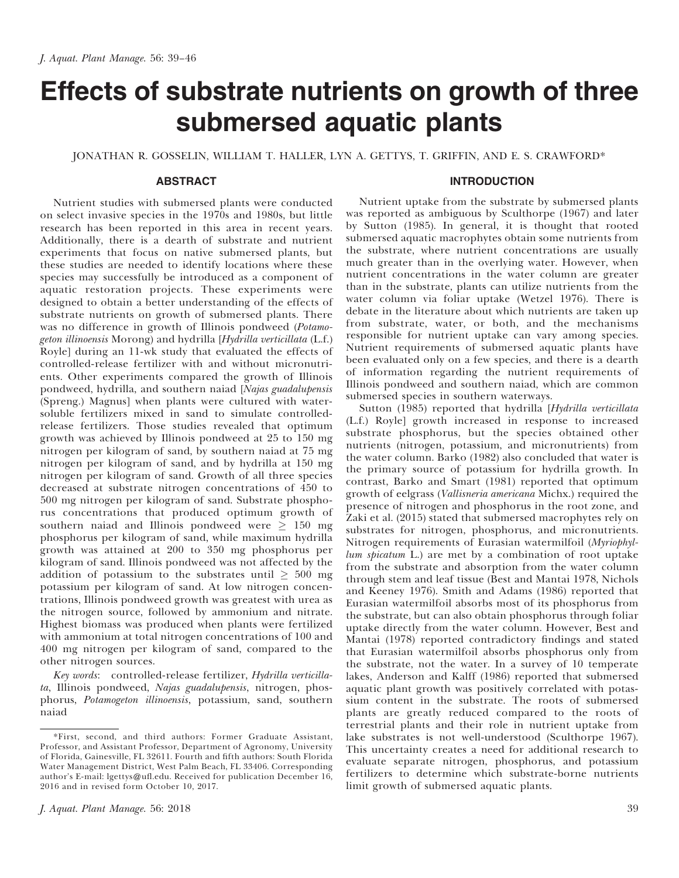# Effects of substrate nutrients on growth of three submersed aquatic plants

JONATHAN R. GOSSELIN, WILLIAM T. HALLER, LYN A. GETTYS, T. GRIFFIN, AND E. S. CRAWFORD\*

# ABSTRACT

Nutrient studies with submersed plants were conducted on select invasive species in the 1970s and 1980s, but little research has been reported in this area in recent years. Additionally, there is a dearth of substrate and nutrient experiments that focus on native submersed plants, but these studies are needed to identify locations where these species may successfully be introduced as a component of aquatic restoration projects. These experiments were designed to obtain a better understanding of the effects of substrate nutrients on growth of submersed plants. There was no difference in growth of Illinois pondweed (Potamogeton illinoensis Morong) and hydrilla [Hydrilla verticillata (L.f.) Royle] during an 11-wk study that evaluated the effects of controlled-release fertilizer with and without micronutrients. Other experiments compared the growth of Illinois pondweed, hydrilla, and southern naiad [Najas guadalupensis (Spreng.) Magnus] when plants were cultured with watersoluble fertilizers mixed in sand to simulate controlledrelease fertilizers. Those studies revealed that optimum growth was achieved by Illinois pondweed at 25 to 150 mg nitrogen per kilogram of sand, by southern naiad at 75 mg nitrogen per kilogram of sand, and by hydrilla at 150 mg nitrogen per kilogram of sand. Growth of all three species decreased at substrate nitrogen concentrations of 450 to 500 mg nitrogen per kilogram of sand. Substrate phosphorus concentrations that produced optimum growth of southern naiad and Illinois pondweed were  $\geq 150$  mg phosphorus per kilogram of sand, while maximum hydrilla growth was attained at 200 to 350 mg phosphorus per kilogram of sand. Illinois pondweed was not affected by the addition of potassium to the substrates until  $\geq 500$  mg potassium per kilogram of sand. At low nitrogen concentrations, Illinois pondweed growth was greatest with urea as the nitrogen source, followed by ammonium and nitrate. Highest biomass was produced when plants were fertilized with ammonium at total nitrogen concentrations of 100 and 400 mg nitrogen per kilogram of sand, compared to the other nitrogen sources.

Key words: controlled-release fertilizer, Hydrilla verticillata, Illinois pondweed, Najas guadalupensis, nitrogen, phosphorus, Potamogeton illinoensis, potassium, sand, southern naiad

# INTRODUCTION

Nutrient uptake from the substrate by submersed plants was reported as ambiguous by Sculthorpe (1967) and later by Sutton (1985). In general, it is thought that rooted submersed aquatic macrophytes obtain some nutrients from the substrate, where nutrient concentrations are usually much greater than in the overlying water. However, when nutrient concentrations in the water column are greater than in the substrate, plants can utilize nutrients from the water column via foliar uptake (Wetzel 1976). There is debate in the literature about which nutrients are taken up from substrate, water, or both, and the mechanisms responsible for nutrient uptake can vary among species. Nutrient requirements of submersed aquatic plants have been evaluated only on a few species, and there is a dearth of information regarding the nutrient requirements of Illinois pondweed and southern naiad, which are common submersed species in southern waterways.

Sutton (1985) reported that hydrilla [Hydrilla verticillata (L.f.) Royle] growth increased in response to increased substrate phosphorus, but the species obtained other nutrients (nitrogen, potassium, and micronutrients) from the water column. Barko (1982) also concluded that water is the primary source of potassium for hydrilla growth. In contrast, Barko and Smart (1981) reported that optimum growth of eelgrass (Vallisneria americana Michx.) required the presence of nitrogen and phosphorus in the root zone, and Zaki et al. (2015) stated that submersed macrophytes rely on substrates for nitrogen, phosphorus, and micronutrients. Nitrogen requirements of Eurasian watermilfoil (Myriophyllum spicatum L.) are met by a combination of root uptake from the substrate and absorption from the water column through stem and leaf tissue (Best and Mantai 1978, Nichols and Keeney 1976). Smith and Adams (1986) reported that Eurasian watermilfoil absorbs most of its phosphorus from the substrate, but can also obtain phosphorus through foliar uptake directly from the water column. However, Best and Mantai (1978) reported contradictory findings and stated that Eurasian watermilfoil absorbs phosphorus only from the substrate, not the water. In a survey of 10 temperate lakes, Anderson and Kalff (1986) reported that submersed aquatic plant growth was positively correlated with potassium content in the substrate. The roots of submersed plants are greatly reduced compared to the roots of terrestrial plants and their role in nutrient uptake from lake substrates is not well-understood (Sculthorpe 1967). This uncertainty creates a need for additional research to evaluate separate nitrogen, phosphorus, and potassium fertilizers to determine which substrate-borne nutrients limit growth of submersed aquatic plants.

<sup>\*</sup>First, second, and third authors: Former Graduate Assistant, Professor, and Assistant Professor, Department of Agronomy, University of Florida, Gainesville, FL 32611. Fourth and fifth authors: South Florida Water Management District, West Palm Beach, FL 33406. Corresponding author's E-mail: lgettys@ufl.edu. Received for publication December 16, 2016 and in revised form October 10, 2017.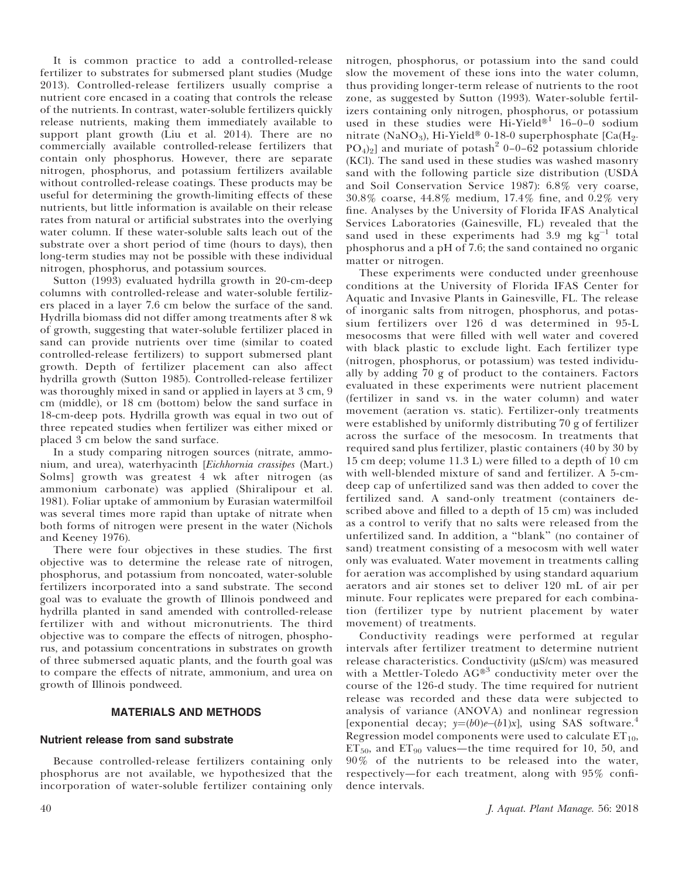It is common practice to add a controlled-release fertilizer to substrates for submersed plant studies (Mudge 2013). Controlled-release fertilizers usually comprise a nutrient core encased in a coating that controls the release of the nutrients. In contrast, water-soluble fertilizers quickly release nutrients, making them immediately available to support plant growth (Liu et al. 2014). There are no commercially available controlled-release fertilizers that contain only phosphorus. However, there are separate nitrogen, phosphorus, and potassium fertilizers available without controlled-release coatings. These products may be useful for determining the growth-limiting effects of these nutrients, but little information is available on their release rates from natural or artificial substrates into the overlying water column. If these water-soluble salts leach out of the substrate over a short period of time (hours to days), then long-term studies may not be possible with these individual nitrogen, phosphorus, and potassium sources.

Sutton (1993) evaluated hydrilla growth in 20-cm-deep columns with controlled-release and water-soluble fertilizers placed in a layer 7.6 cm below the surface of the sand. Hydrilla biomass did not differ among treatments after 8 wk of growth, suggesting that water-soluble fertilizer placed in sand can provide nutrients over time (similar to coated controlled-release fertilizers) to support submersed plant growth. Depth of fertilizer placement can also affect hydrilla growth (Sutton 1985). Controlled-release fertilizer was thoroughly mixed in sand or applied in layers at 3 cm, 9 cm (middle), or 18 cm (bottom) below the sand surface in 18-cm-deep pots. Hydrilla growth was equal in two out of three repeated studies when fertilizer was either mixed or placed 3 cm below the sand surface.

In a study comparing nitrogen sources (nitrate, ammonium, and urea), waterhyacinth [Eichhornia crassipes (Mart.) Solms] growth was greatest 4 wk after nitrogen (as ammonium carbonate) was applied (Shiralipour et al. 1981). Foliar uptake of ammonium by Eurasian watermilfoil was several times more rapid than uptake of nitrate when both forms of nitrogen were present in the water (Nichols and Keeney 1976).

There were four objectives in these studies. The first objective was to determine the release rate of nitrogen, phosphorus, and potassium from noncoated, water-soluble fertilizers incorporated into a sand substrate. The second goal was to evaluate the growth of Illinois pondweed and hydrilla planted in sand amended with controlled-release fertilizer with and without micronutrients. The third objective was to compare the effects of nitrogen, phosphorus, and potassium concentrations in substrates on growth of three submersed aquatic plants, and the fourth goal was to compare the effects of nitrate, ammonium, and urea on growth of Illinois pondweed.

# MATERIALS AND METHODS

# Nutrient release from sand substrate

Because controlled-release fertilizers containing only phosphorus are not available, we hypothesized that the incorporation of water-soluble fertilizer containing only

nitrogen, phosphorus, or potassium into the sand could slow the movement of these ions into the water column, thus providing longer-term release of nutrients to the root zone, as suggested by Sutton (1993). Water-soluble fertilizers containing only nitrogen, phosphorus, or potassium used in these studies were Hi-Yield<sup>®1</sup> 16–0–0 sodium nitrate (NaNO<sub>3</sub>), Hi-Yield<sup>®</sup> 0-18-0 superphosphate  $\lceil Ca(H_2-H_1) \rceil$  $PO_4$ <sub>2</sub>] and muriate of potash<sup>2</sup> 0–0–62 potassium chloride (KCl). The sand used in these studies was washed masonry sand with the following particle size distribution (USDA and Soil Conservation Service 1987): 6.8% very coarse, 30.8% coarse, 44.8% medium, 17.4% fine, and 0.2% very fine. Analyses by the University of Florida IFAS Analytical Services Laboratories (Gainesville, FL) revealed that the sand used in these experiments had  $3.9 \text{ mg kg}^{-1}$  total phosphorus and a pH of 7.6; the sand contained no organic matter or nitrogen.

These experiments were conducted under greenhouse conditions at the University of Florida IFAS Center for Aquatic and Invasive Plants in Gainesville, FL. The release of inorganic salts from nitrogen, phosphorus, and potassium fertilizers over 126 d was determined in 95-L mesocosms that were filled with well water and covered with black plastic to exclude light. Each fertilizer type (nitrogen, phosphorus, or potassium) was tested individually by adding 70 g of product to the containers. Factors evaluated in these experiments were nutrient placement (fertilizer in sand vs. in the water column) and water movement (aeration vs. static). Fertilizer-only treatments were established by uniformly distributing 70 g of fertilizer across the surface of the mesocosm. In treatments that required sand plus fertilizer, plastic containers (40 by 30 by 15 cm deep; volume 11.3 L) were filled to a depth of 10 cm with well-blended mixture of sand and fertilizer. A 5-cmdeep cap of unfertilized sand was then added to cover the fertilized sand. A sand-only treatment (containers described above and filled to a depth of 15 cm) was included as a control to verify that no salts were released from the unfertilized sand. In addition, a ''blank'' (no container of sand) treatment consisting of a mesocosm with well water only was evaluated. Water movement in treatments calling for aeration was accomplished by using standard aquarium aerators and air stones set to deliver 120 mL of air per minute. Four replicates were prepared for each combination (fertilizer type by nutrient placement by water movement) of treatments.

Conductivity readings were performed at regular intervals after fertilizer treatment to determine nutrient release characteristics. Conductivity  $(\mu S/cm)$  was measured with a Mettler-Toledo  $AG^{\otimes 3}$  conductivity meter over the course of the 126-d study. The time required for nutrient release was recorded and these data were subjected to analysis of variance (ANOVA) and nonlinear regression [exponential decay;  $y=(b0)e-(b1)x$ ], using SAS software.<sup>4</sup> Regression model components were used to calculate  $ET_{10}$ ,  $ET_{50}$ , and  $ET_{90}$  values—the time required for 10, 50, and 90% of the nutrients to be released into the water, respectively—for each treatment, along with 95% confidence intervals.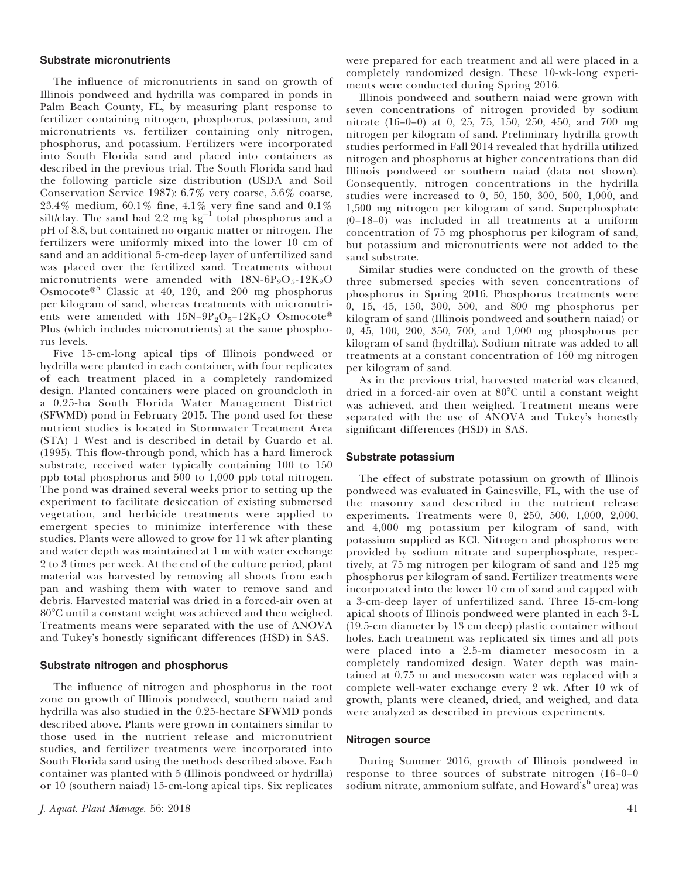#### Substrate micronutrients

The influence of micronutrients in sand on growth of Illinois pondweed and hydrilla was compared in ponds in Palm Beach County, FL, by measuring plant response to fertilizer containing nitrogen, phosphorus, potassium, and micronutrients vs. fertilizer containing only nitrogen, phosphorus, and potassium. Fertilizers were incorporated into South Florida sand and placed into containers as described in the previous trial. The South Florida sand had the following particle size distribution (USDA and Soil Conservation Service 1987): 6.7% very coarse, 5.6% coarse,  $23.4\%$  medium,  $60.1\%$  fine,  $4.1\%$  very fine sand and  $0.1\%$ silt/clay. The sand had 2.2 mg  $kg^{-1}$  total phosphorus and a pH of 8.8, but contained no organic matter or nitrogen. The fertilizers were uniformly mixed into the lower 10 cm of sand and an additional 5-cm-deep layer of unfertilized sand was placed over the fertilized sand. Treatments without micronutrients were amended with  $18N-6P_2O_5-12K_2O$ Osmocote®<sup>5</sup> Classic at 40, 120, and 200 mg phosphorus per kilogram of sand, whereas treatments with micronutrients were amended with  $15N-9P_2O_5-12K_2O$  Osmocote® Plus (which includes micronutrients) at the same phosphorus levels.

Five 15-cm-long apical tips of Illinois pondweed or hydrilla were planted in each container, with four replicates of each treatment placed in a completely randomized design. Planted containers were placed on groundcloth in a 0.25-ha South Florida Water Management District (SFWMD) pond in February 2015. The pond used for these nutrient studies is located in Stormwater Treatment Area (STA) 1 West and is described in detail by Guardo et al. (1995). This flow-through pond, which has a hard limerock substrate, received water typically containing 100 to 150 ppb total phosphorus and 500 to 1,000 ppb total nitrogen. The pond was drained several weeks prior to setting up the experiment to facilitate desiccation of existing submersed vegetation, and herbicide treatments were applied to emergent species to minimize interference with these studies. Plants were allowed to grow for 11 wk after planting and water depth was maintained at 1 m with water exchange 2 to 3 times per week. At the end of the culture period, plant material was harvested by removing all shoots from each pan and washing them with water to remove sand and debris. Harvested material was dried in a forced-air oven at  $80^{\circ}$ C until a constant weight was achieved and then weighed. Treatments means were separated with the use of ANOVA and Tukey's honestly significant differences (HSD) in SAS.

## Substrate nitrogen and phosphorus

The influence of nitrogen and phosphorus in the root zone on growth of Illinois pondweed, southern naiad and hydrilla was also studied in the 0.25-hectare SFWMD ponds described above. Plants were grown in containers similar to those used in the nutrient release and micronutrient studies, and fertilizer treatments were incorporated into South Florida sand using the methods described above. Each container was planted with 5 (Illinois pondweed or hydrilla) or 10 (southern naiad) 15-cm-long apical tips. Six replicates

were prepared for each treatment and all were placed in a completely randomized design. These 10-wk-long experiments were conducted during Spring 2016.

Illinois pondweed and southern naiad were grown with seven concentrations of nitrogen provided by sodium nitrate (16–0–0) at 0, 25, 75, 150, 250, 450, and 700 mg nitrogen per kilogram of sand. Preliminary hydrilla growth studies performed in Fall 2014 revealed that hydrilla utilized nitrogen and phosphorus at higher concentrations than did Illinois pondweed or southern naiad (data not shown). Consequently, nitrogen concentrations in the hydrilla studies were increased to 0, 50, 150, 300, 500, 1,000, and 1,500 mg nitrogen per kilogram of sand. Superphosphate (0–18–0) was included in all treatments at a uniform concentration of 75 mg phosphorus per kilogram of sand, but potassium and micronutrients were not added to the sand substrate.

Similar studies were conducted on the growth of these three submersed species with seven concentrations of phosphorus in Spring 2016. Phosphorus treatments were 0, 15, 45, 150, 300, 500, and 800 mg phosphorus per kilogram of sand (Illinois pondweed and southern naiad) or 0, 45, 100, 200, 350, 700, and 1,000 mg phosphorus per kilogram of sand (hydrilla). Sodium nitrate was added to all treatments at a constant concentration of 160 mg nitrogen per kilogram of sand.

As in the previous trial, harvested material was cleaned, dried in a forced-air oven at 80°C until a constant weight was achieved, and then weighed. Treatment means were separated with the use of ANOVA and Tukey's honestly significant differences (HSD) in SAS.

# Substrate potassium

The effect of substrate potassium on growth of Illinois pondweed was evaluated in Gainesville, FL, with the use of the masonry sand described in the nutrient release experiments. Treatments were 0, 250, 500, 1,000, 2,000, and 4,000 mg potassium per kilogram of sand, with potassium supplied as KCl. Nitrogen and phosphorus were provided by sodium nitrate and superphosphate, respectively, at 75 mg nitrogen per kilogram of sand and 125 mg phosphorus per kilogram of sand. Fertilizer treatments were incorporated into the lower 10 cm of sand and capped with a 3-cm-deep layer of unfertilized sand. Three 15-cm-long apical shoots of Illinois pondweed were planted in each 3-L (19.5-cm diameter by 13 cm deep) plastic container without holes. Each treatment was replicated six times and all pots were placed into a 2.5-m diameter mesocosm in a completely randomized design. Water depth was maintained at 0.75 m and mesocosm water was replaced with a complete well-water exchange every 2 wk. After 10 wk of growth, plants were cleaned, dried, and weighed, and data were analyzed as described in previous experiments.

#### Nitrogen source

During Summer 2016, growth of Illinois pondweed in response to three sources of substrate nitrogen (16–0–0 sodium nitrate, ammonium sulfate, and Howard's<sup>6</sup> urea) was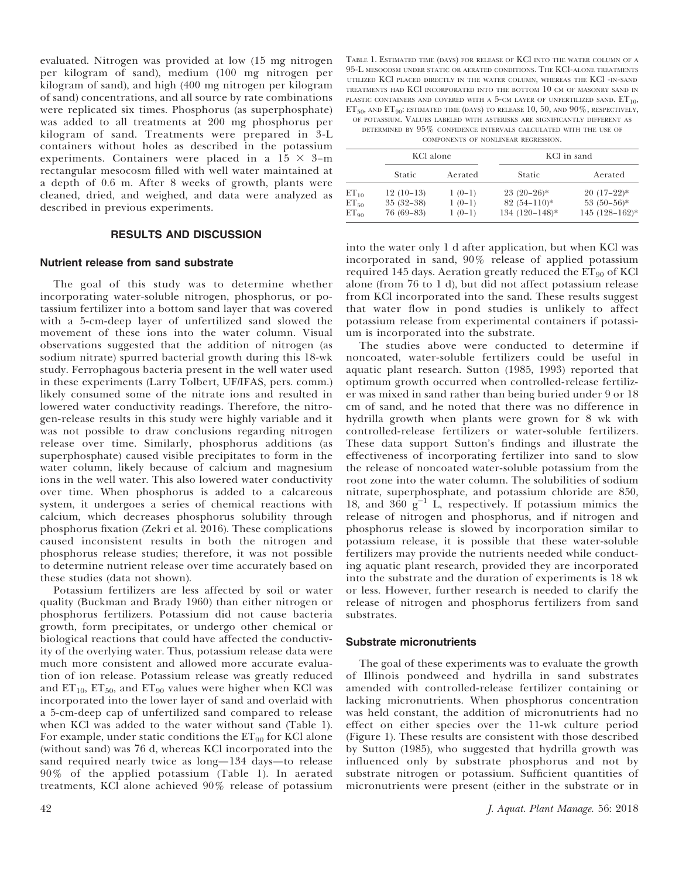evaluated. Nitrogen was provided at low (15 mg nitrogen per kilogram of sand), medium (100 mg nitrogen per kilogram of sand), and high (400 mg nitrogen per kilogram of sand) concentrations, and all source by rate combinations were replicated six times. Phosphorus (as superphosphate) was added to all treatments at 200 mg phosphorus per kilogram of sand. Treatments were prepared in 3-L containers without holes as described in the potassium experiments. Containers were placed in a  $15 \times 3$ -m rectangular mesocosm filled with well water maintained at a depth of 0.6 m. After 8 weeks of growth, plants were cleaned, dried, and weighed, and data were analyzed as described in previous experiments.

## RESULTS AND DISCUSSION

#### Nutrient release from sand substrate

The goal of this study was to determine whether incorporating water-soluble nitrogen, phosphorus, or potassium fertilizer into a bottom sand layer that was covered with a 5-cm-deep layer of unfertilized sand slowed the movement of these ions into the water column. Visual observations suggested that the addition of nitrogen (as sodium nitrate) spurred bacterial growth during this 18-wk study. Ferrophagous bacteria present in the well water used in these experiments (Larry Tolbert, UF/IFAS, pers. comm.) likely consumed some of the nitrate ions and resulted in lowered water conductivity readings. Therefore, the nitrogen-release results in this study were highly variable and it was not possible to draw conclusions regarding nitrogen release over time. Similarly, phosphorus additions (as superphosphate) caused visible precipitates to form in the water column, likely because of calcium and magnesium ions in the well water. This also lowered water conductivity over time. When phosphorus is added to a calcareous system, it undergoes a series of chemical reactions with calcium, which decreases phosphorus solubility through phosphorus fixation (Zekri et al. 2016). These complications caused inconsistent results in both the nitrogen and phosphorus release studies; therefore, it was not possible to determine nutrient release over time accurately based on these studies (data not shown).

Potassium fertilizers are less affected by soil or water quality (Buckman and Brady 1960) than either nitrogen or phosphorus fertilizers. Potassium did not cause bacteria growth, form precipitates, or undergo other chemical or biological reactions that could have affected the conductivity of the overlying water. Thus, potassium release data were much more consistent and allowed more accurate evaluation of ion release. Potassium release was greatly reduced and  $ET_{10}$ ,  $ET_{50}$ , and  $ET_{90}$  values were higher when KCl was incorporated into the lower layer of sand and overlaid with a 5-cm-deep cap of unfertilized sand compared to release when KCl was added to the water without sand (Table 1). For example, under static conditions the  $ET_{90}$  for KCl alone (without sand) was 76 d, whereas KCl incorporated into the sand required nearly twice as long—134 days—to release 90% of the applied potassium (Table 1). In aerated treatments, KCl alone achieved 90% release of potassium

TABLE 1. ESTIMATED TIME (DAYS) FOR RELEASE OF KCl INTO THE WATER COLUMN OF A 95-L MESOCOSM UNDER STATIC OR AERATED CONDITIONS. THE KCl-ALONE TREATMENTS UTILIZED KCl PLACED DIRECTLY IN THE WATER COLUMN, WHEREAS THE KCl -IN-SAND TREATMENTS HAD KCl INCORPORATED INTO THE BOTTOM 10 CM OF MASONRY SAND IN PLASTIC CONTAINERS AND COVERED WITH A 5-CM LAYER OF UNFERTILIZED SAND.  $ET_{10}$ ,  $ET_{50}$ , and  $ET_{90}$ : estimated time (days) to release 10, 50, and 90%, respectively, OF POTASSIUM. VALUES LABELED WITH ASTERISKS ARE SIGNIFICANTLY DIFFERENT AS

DETERMINED BY 95% CONFIDENCE INTERVALS CALCULATED WITH THE USE OF COMPONENTS OF NONLINEAR REGRESSION.

|                                     | KCl alone                                 |                                  | KCl in sand                                        |                                                   |
|-------------------------------------|-------------------------------------------|----------------------------------|----------------------------------------------------|---------------------------------------------------|
|                                     | Static                                    | Aerated                          | Static                                             | Aerated                                           |
| $ET_{10}$<br>$ET_{50}$<br>$ET_{90}$ | $12(10-13)$<br>$35(32-38)$<br>$76(69-83)$ | $1(0-1)$<br>$1(0-1)$<br>$1(0-1)$ | $23(20-26)^*$<br>$82(54-110)*$<br>$134(120-148)$ * | $20(17-22)*$<br>$53(50-56)$ *<br>$145(128-162)^*$ |

into the water only 1 d after application, but when KCl was incorporated in sand, 90% release of applied potassium required 145 days. Aeration greatly reduced the  $ET_{90}$  of KCl alone (from 76 to 1 d), but did not affect potassium release from KCl incorporated into the sand. These results suggest that water flow in pond studies is unlikely to affect potassium release from experimental containers if potassium is incorporated into the substrate.

The studies above were conducted to determine if noncoated, water-soluble fertilizers could be useful in aquatic plant research. Sutton (1985, 1993) reported that optimum growth occurred when controlled-release fertilizer was mixed in sand rather than being buried under 9 or 18 cm of sand, and he noted that there was no difference in hydrilla growth when plants were grown for 8 wk with controlled-release fertilizers or water-soluble fertilizers. These data support Sutton's findings and illustrate the effectiveness of incorporating fertilizer into sand to slow the release of noncoated water-soluble potassium from the root zone into the water column. The solubilities of sodium nitrate, superphosphate, and potassium chloride are 850, 18, and  $360 \text{ g}^{-1}$  L, respectively. If potassium mimics the release of nitrogen and phosphorus, and if nitrogen and phosphorus release is slowed by incorporation similar to potassium release, it is possible that these water-soluble fertilizers may provide the nutrients needed while conducting aquatic plant research, provided they are incorporated into the substrate and the duration of experiments is 18 wk or less. However, further research is needed to clarify the release of nitrogen and phosphorus fertilizers from sand substrates.

#### Substrate micronutrients

The goal of these experiments was to evaluate the growth of Illinois pondweed and hydrilla in sand substrates amended with controlled-release fertilizer containing or lacking micronutrients. When phosphorus concentration was held constant, the addition of micronutrients had no effect on either species over the 11-wk culture period (Figure 1). These results are consistent with those described by Sutton (1985), who suggested that hydrilla growth was influenced only by substrate phosphorus and not by substrate nitrogen or potassium. Sufficient quantities of micronutrients were present (either in the substrate or in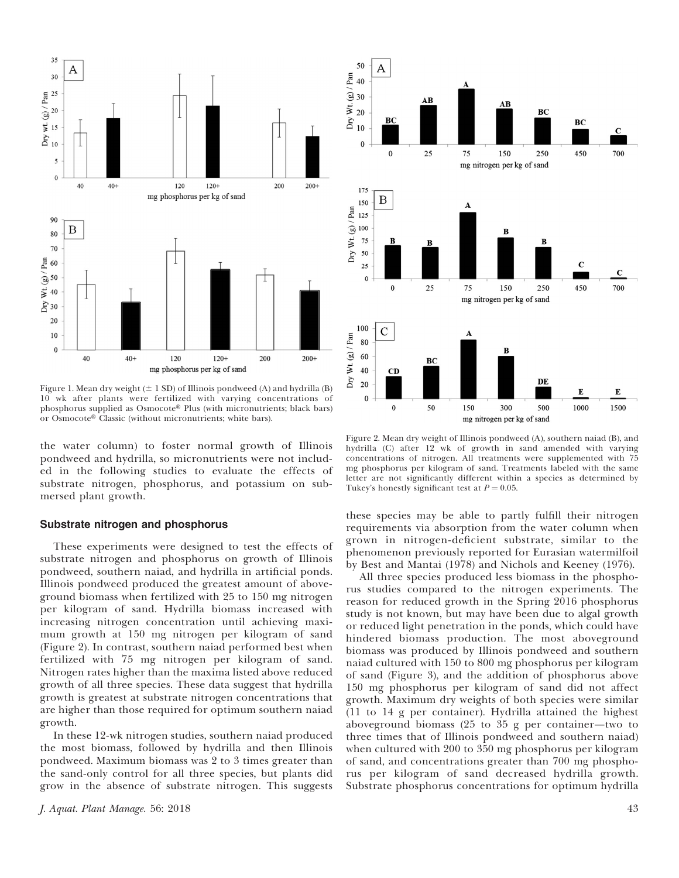

Figure 1. Mean dry weight  $(\pm 1$  SD) of Illinois pondweed (A) and hydrilla (B) 10 wk after plants were fertilized with varying concentrations of phosphorus supplied as  $Osmocote^{\circledR}$  Plus (with micronutrients; black bars) or Osmocote® Classic (without micronutrients; white bars).

the water column) to foster normal growth of Illinois pondweed and hydrilla, so micronutrients were not included in the following studies to evaluate the effects of substrate nitrogen, phosphorus, and potassium on submersed plant growth.

# Substrate nitrogen and phosphorus

These experiments were designed to test the effects of substrate nitrogen and phosphorus on growth of Illinois pondweed, southern naiad, and hydrilla in artificial ponds. Illinois pondweed produced the greatest amount of aboveground biomass when fertilized with 25 to 150 mg nitrogen per kilogram of sand. Hydrilla biomass increased with increasing nitrogen concentration until achieving maximum growth at 150 mg nitrogen per kilogram of sand (Figure 2). In contrast, southern naiad performed best when fertilized with 75 mg nitrogen per kilogram of sand. Nitrogen rates higher than the maxima listed above reduced growth of all three species. These data suggest that hydrilla growth is greatest at substrate nitrogen concentrations that are higher than those required for optimum southern naiad growth.

In these 12-wk nitrogen studies, southern naiad produced the most biomass, followed by hydrilla and then Illinois pondweed. Maximum biomass was 2 to 3 times greater than the sand-only control for all three species, but plants did grow in the absence of substrate nitrogen. This suggests



Figure 2. Mean dry weight of Illinois pondweed (A), southern naiad (B), and hydrilla (C) after 12 wk of growth in sand amended with varying concentrations of nitrogen. All treatments were supplemented with 75 mg phosphorus per kilogram of sand. Treatments labeled with the same letter are not significantly different within a species as determined by Tukey's honestly significant test at  $P = 0.05$ .

these species may be able to partly fulfill their nitrogen requirements via absorption from the water column when grown in nitrogen-deficient substrate, similar to the phenomenon previously reported for Eurasian watermilfoil by Best and Mantai (1978) and Nichols and Keeney (1976).

All three species produced less biomass in the phosphorus studies compared to the nitrogen experiments. The reason for reduced growth in the Spring 2016 phosphorus study is not known, but may have been due to algal growth or reduced light penetration in the ponds, which could have hindered biomass production. The most aboveground biomass was produced by Illinois pondweed and southern naiad cultured with 150 to 800 mg phosphorus per kilogram of sand (Figure 3), and the addition of phosphorus above 150 mg phosphorus per kilogram of sand did not affect growth. Maximum dry weights of both species were similar (11 to 14 g per container). Hydrilla attained the highest aboveground biomass (25 to 35 g per container—two to three times that of Illinois pondweed and southern naiad) when cultured with 200 to 350 mg phosphorus per kilogram of sand, and concentrations greater than 700 mg phosphorus per kilogram of sand decreased hydrilla growth. Substrate phosphorus concentrations for optimum hydrilla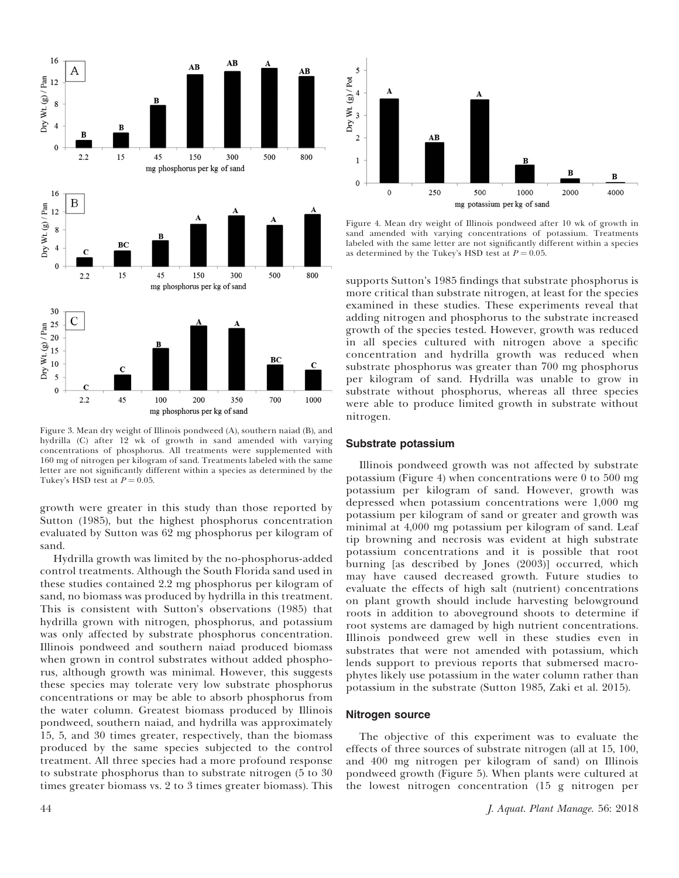

Figure 3. Mean dry weight of Illinois pondweed (A), southern naiad (B), and hydrilla (C) after 12 wk of growth in sand amended with varying concentrations of phosphorus. All treatments were supplemented with 160 mg of nitrogen per kilogram of sand. Treatments labeled with the same letter are not significantly different within a species as determined by the Tukey's HSD test at  $P = 0.05$ .

growth were greater in this study than those reported by Sutton (1985), but the highest phosphorus concentration evaluated by Sutton was 62 mg phosphorus per kilogram of sand.

Hydrilla growth was limited by the no-phosphorus-added control treatments. Although the South Florida sand used in these studies contained 2.2 mg phosphorus per kilogram of sand, no biomass was produced by hydrilla in this treatment. This is consistent with Sutton's observations (1985) that hydrilla grown with nitrogen, phosphorus, and potassium was only affected by substrate phosphorus concentration. Illinois pondweed and southern naiad produced biomass when grown in control substrates without added phosphorus, although growth was minimal. However, this suggests these species may tolerate very low substrate phosphorus concentrations or may be able to absorb phosphorus from the water column. Greatest biomass produced by Illinois pondweed, southern naiad, and hydrilla was approximately 15, 5, and 30 times greater, respectively, than the biomass produced by the same species subjected to the control treatment. All three species had a more profound response to substrate phosphorus than to substrate nitrogen (5 to 30 times greater biomass vs. 2 to 3 times greater biomass). This



Figure 4. Mean dry weight of Illinois pondweed after 10 wk of growth in sand amended with varying concentrations of potassium. Treatments labeled with the same letter are not significantly different within a species as determined by the Tukey's HSD test at  $P = 0.05$ .

supports Sutton's 1985 findings that substrate phosphorus is more critical than substrate nitrogen, at least for the species examined in these studies. These experiments reveal that adding nitrogen and phosphorus to the substrate increased growth of the species tested. However, growth was reduced in all species cultured with nitrogen above a specific concentration and hydrilla growth was reduced when substrate phosphorus was greater than 700 mg phosphorus per kilogram of sand. Hydrilla was unable to grow in substrate without phosphorus, whereas all three species were able to produce limited growth in substrate without nitrogen.

## Substrate potassium

Illinois pondweed growth was not affected by substrate potassium (Figure 4) when concentrations were 0 to 500 mg potassium per kilogram of sand. However, growth was depressed when potassium concentrations were 1,000 mg potassium per kilogram of sand or greater and growth was minimal at 4,000 mg potassium per kilogram of sand. Leaf tip browning and necrosis was evident at high substrate potassium concentrations and it is possible that root burning [as described by Jones (2003)] occurred, which may have caused decreased growth. Future studies to evaluate the effects of high salt (nutrient) concentrations on plant growth should include harvesting belowground roots in addition to aboveground shoots to determine if root systems are damaged by high nutrient concentrations. Illinois pondweed grew well in these studies even in substrates that were not amended with potassium, which lends support to previous reports that submersed macrophytes likely use potassium in the water column rather than potassium in the substrate (Sutton 1985, Zaki et al. 2015).

## Nitrogen source

The objective of this experiment was to evaluate the effects of three sources of substrate nitrogen (all at 15, 100, and 400 mg nitrogen per kilogram of sand) on Illinois pondweed growth (Figure 5). When plants were cultured at the lowest nitrogen concentration (15 g nitrogen per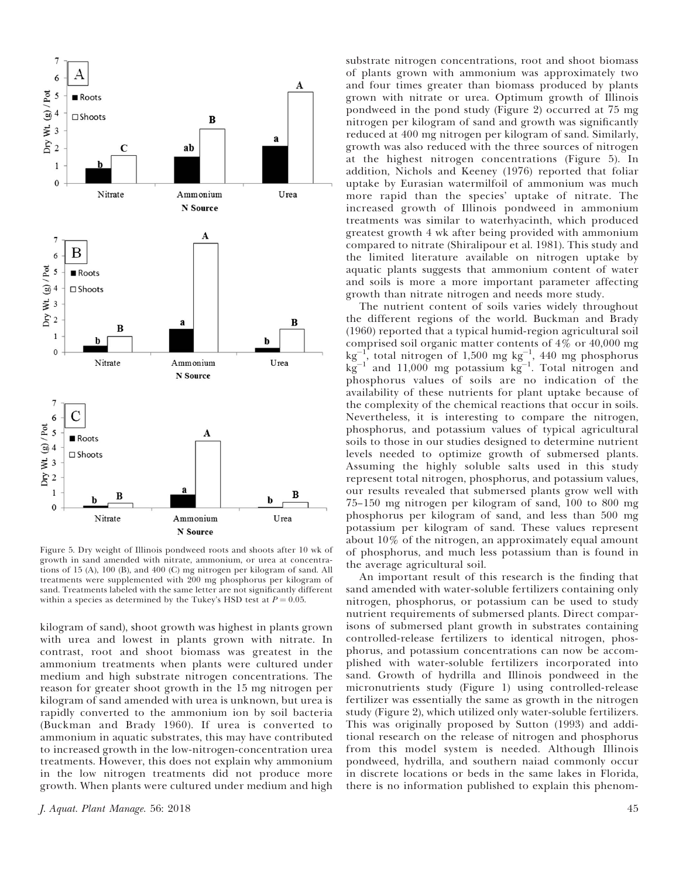

Figure 5. Dry weight of Illinois pondweed roots and shoots after 10 wk of growth in sand amended with nitrate, ammonium, or urea at concentrations of 15 (A), 100 (B), and 400 (C) mg nitrogen per kilogram of sand. All treatments were supplemented with 200 mg phosphorus per kilogram of sand. Treatments labeled with the same letter are not significantly different within a species as determined by the Tukey's HSD test at  $P = 0.05$ .

kilogram of sand), shoot growth was highest in plants grown with urea and lowest in plants grown with nitrate. In contrast, root and shoot biomass was greatest in the ammonium treatments when plants were cultured under medium and high substrate nitrogen concentrations. The reason for greater shoot growth in the 15 mg nitrogen per kilogram of sand amended with urea is unknown, but urea is rapidly converted to the ammonium ion by soil bacteria (Buckman and Brady 1960). If urea is converted to ammonium in aquatic substrates, this may have contributed to increased growth in the low-nitrogen-concentration urea treatments. However, this does not explain why ammonium in the low nitrogen treatments did not produce more growth. When plants were cultured under medium and high

substrate nitrogen concentrations, root and shoot biomass of plants grown with ammonium was approximately two and four times greater than biomass produced by plants grown with nitrate or urea. Optimum growth of Illinois pondweed in the pond study (Figure 2) occurred at 75 mg nitrogen per kilogram of sand and growth was significantly reduced at 400 mg nitrogen per kilogram of sand. Similarly, growth was also reduced with the three sources of nitrogen at the highest nitrogen concentrations (Figure 5). In addition, Nichols and Keeney (1976) reported that foliar uptake by Eurasian watermilfoil of ammonium was much more rapid than the species' uptake of nitrate. The increased growth of Illinois pondweed in ammonium treatments was similar to waterhyacinth, which produced greatest growth 4 wk after being provided with ammonium compared to nitrate (Shiralipour et al. 1981). This study and the limited literature available on nitrogen uptake by aquatic plants suggests that ammonium content of water and soils is more a more important parameter affecting growth than nitrate nitrogen and needs more study.

The nutrient content of soils varies widely throughout the different regions of the world. Buckman and Brady (1960) reported that a typical humid-region agricultural soil comprised soil organic matter contents of 4% or 40,000 mg  $\text{kg}^{-1}$ , total nitrogen of 1,500 mg kg<sup>-1</sup>, 440 mg phosphorus  $kg^{-1}$  and 11,000 mg potassium  $kg^{-1}$ . Total nitrogen and phosphorus values of soils are no indication of the availability of these nutrients for plant uptake because of the complexity of the chemical reactions that occur in soils. Nevertheless, it is interesting to compare the nitrogen, phosphorus, and potassium values of typical agricultural soils to those in our studies designed to determine nutrient levels needed to optimize growth of submersed plants. Assuming the highly soluble salts used in this study represent total nitrogen, phosphorus, and potassium values, our results revealed that submersed plants grow well with 75–150 mg nitrogen per kilogram of sand, 100 to 800 mg phosphorus per kilogram of sand, and less than 500 mg potassium per kilogram of sand. These values represent about 10% of the nitrogen, an approximately equal amount of phosphorus, and much less potassium than is found in the average agricultural soil.

An important result of this research is the finding that sand amended with water-soluble fertilizers containing only nitrogen, phosphorus, or potassium can be used to study nutrient requirements of submersed plants. Direct comparisons of submersed plant growth in substrates containing controlled-release fertilizers to identical nitrogen, phosphorus, and potassium concentrations can now be accomplished with water-soluble fertilizers incorporated into sand. Growth of hydrilla and Illinois pondweed in the micronutrients study (Figure 1) using controlled-release fertilizer was essentially the same as growth in the nitrogen study (Figure 2), which utilized only water-soluble fertilizers. This was originally proposed by Sutton (1993) and additional research on the release of nitrogen and phosphorus from this model system is needed. Although Illinois pondweed, hydrilla, and southern naiad commonly occur in discrete locations or beds in the same lakes in Florida, there is no information published to explain this phenom-